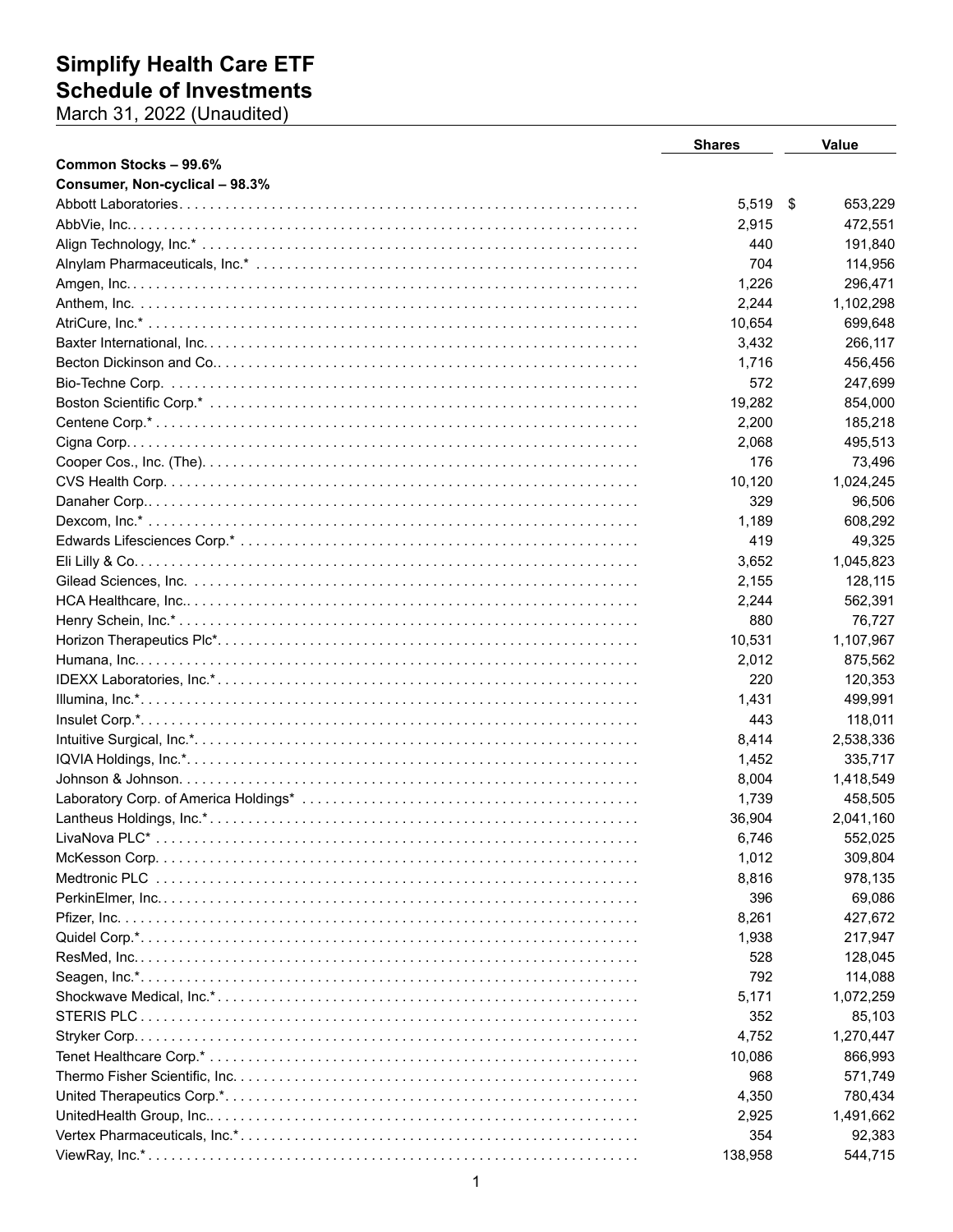## **Simplify Health Care ETF<br>Schedule of Investments**<br>March 31, 2022 (Unaudited)

|                                | <b>Shares</b> | <b>Value</b> |
|--------------------------------|---------------|--------------|
| Common Stocks - 99.6%          |               |              |
| Consumer, Non-cyclical - 98.3% |               |              |
|                                | 5,519 \$      | 653,229      |
|                                | 2,915         | 472,551      |
|                                | 440           | 191,840      |
|                                | 704           | 114,956      |
|                                | 1,226         | 296,471      |
|                                | 2,244         | 1,102,298    |
|                                | 10,654        | 699,648      |
|                                | 3,432         | 266,117      |
|                                | 1,716         | 456,456      |
|                                | 572           | 247,699      |
|                                | 19,282        | 854,000      |
|                                | 2,200         | 185,218      |
|                                | 2,068         | 495,513      |
|                                | 176           | 73,496       |
|                                | 10,120        | 1,024,245    |
|                                | 329           | 96,506       |
|                                | 1,189         | 608,292      |
|                                | 419           | 49,325       |
|                                | 3,652         | 1,045,823    |
|                                | 2,155         | 128,115      |
|                                | 2,244         | 562,391      |
|                                | 880           | 76,727       |
|                                | 10,531        | 1,107,967    |
|                                | 2,012         | 875,562      |
|                                | 220           | 120,353      |
|                                | 1,431         | 499,991      |
|                                | 443           | 118,011      |
|                                | 8,414         | 2,538,336    |
|                                | 1,452         | 335,717      |
|                                | 8,004         | 1,418,549    |
|                                | 1,739         | 458,505      |
|                                | 36,904        | 2,041,160    |
|                                | 6,746         | 552,025      |
|                                | 1,012         | 309,804      |
|                                | 8,816         | 978,135      |
|                                | 396           | 69,086       |
|                                | 8,261         | 427,672      |
|                                | 1,938         | 217,947      |
|                                | 528           | 128,045      |
|                                | 792           | 114,088      |
|                                | 5,171         | 1,072,259    |
|                                | 352           | 85,103       |
|                                | 4,752         | 1,270,447    |
|                                | 10,086        | 866,993      |
|                                | 968           | 571,749      |
|                                |               |              |
|                                | 4,350         | 780,434      |
|                                | 2,925         | 1,491,662    |
|                                | 354           | 92,383       |
|                                | 138,958       | 544,715      |